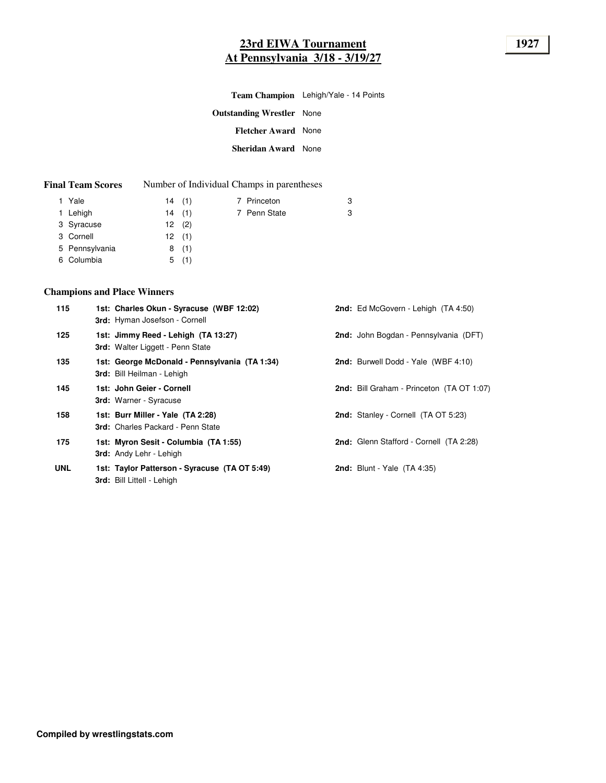# **23rd EIWA Tournament 1927 At Pennsylvania 3/18 - 3/19/27**

| Team Champion Lehigh/Yale - 14 Points |  |  |
|---------------------------------------|--|--|
|---------------------------------------|--|--|

| <b>Outstanding Wrestler</b> None |  |
|----------------------------------|--|
| <b>Fletcher Award</b> None       |  |
| Sheridan Award None              |  |

| <b>Final Team Scores</b> |  | Number of Individual Champs in parentheses |
|--------------------------|--|--------------------------------------------|
|--------------------------|--|--------------------------------------------|

| 1 Yale         | 14(1) | 7 Princeton  | 3 |
|----------------|-------|--------------|---|
| 1 Lehigh       | 14(1) | 7 Penn State | 3 |
| 3 Syracuse     | 12(2) |              |   |
| 3 Cornell      | 12(1) |              |   |
| 5 Pennsylvania | 8(1)  |              |   |
| 6 Columbia     | 5(1)  |              |   |

# **Champions and Place Winners**

| 115        | 1st: Charles Okun - Syracuse (WBF 12:02)<br>3rd: Hyman Josefson - Cornell          | <b>2nd:</b> Ed McGovern - Lehigh (TA 4:50)       |
|------------|------------------------------------------------------------------------------------|--------------------------------------------------|
| 125        | 1st: Jimmy Reed - Lehigh (TA 13:27)<br>3rd: Walter Liggett - Penn State            | 2nd: John Bogdan - Pennsylvania (DFT)            |
| 135        | 1st: George McDonald - Pennsylvania (TA 1:34)<br><b>3rd:</b> Bill Heilman - Lehigh | <b>2nd:</b> Burwell Dodd - Yale (WBF 4:10)       |
| 145        | 1st: John Geier - Cornell<br><b>3rd:</b> Warner - Syracuse                         | <b>2nd:</b> Bill Graham - Princeton (TA OT 1:07) |
| 158        | 1st: Burr Miller - Yale (TA 2:28)<br>3rd: Charles Packard - Penn State             | <b>2nd:</b> Stanley - Cornell (TA OT 5:23)       |
| 175        | 1st: Myron Sesit - Columbia (TA 1:55)<br><b>3rd:</b> Andy Lehr - Lehigh            | 2nd: Glenn Stafford - Cornell (TA 2:28)          |
| <b>UNL</b> | 1st: Taylor Patterson - Syracuse (TA OT 5:49)<br>3rd: Bill Littell - Lehigh        | <b>2nd:</b> Blunt - Yale (TA 4:35)               |
|            |                                                                                    |                                                  |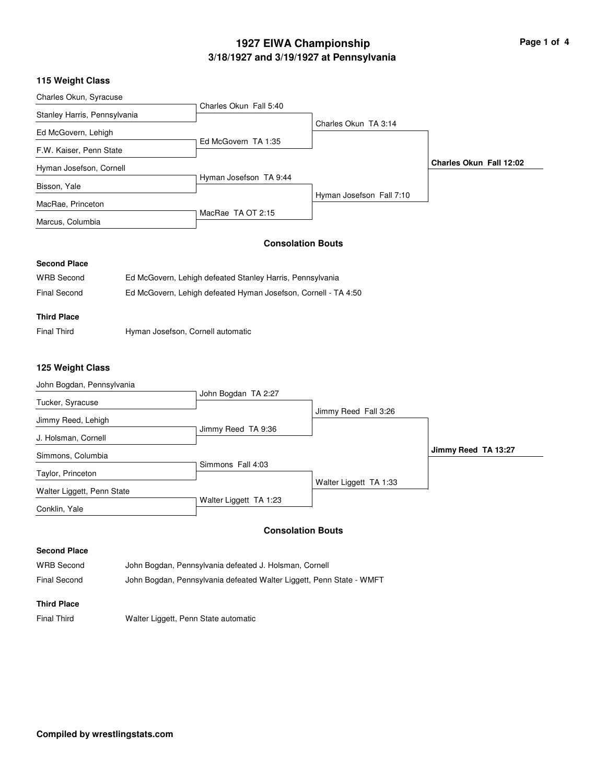# **3/18/1927 and 3/19/1927 at Pennsylvania 1927 EIWA Championship Page 1 of 4**

#### **115 Weight Class**

| Charles Okun, Syracuse       |                        |                          |                         |
|------------------------------|------------------------|--------------------------|-------------------------|
|                              | Charles Okun Fall 5:40 |                          |                         |
| Stanley Harris, Pennsylvania |                        |                          |                         |
|                              |                        | Charles Okun TA 3:14     |                         |
| Ed McGovern, Lehigh          |                        |                          |                         |
|                              | Ed McGovern TA 1:35    |                          |                         |
| F.W. Kaiser, Penn State      |                        |                          |                         |
| Hyman Josefson, Cornell      |                        |                          | Charles Okun Fall 12:02 |
|                              | Hyman Josefson TA 9:44 |                          |                         |
| Bisson, Yale                 |                        |                          |                         |
|                              |                        | Hyman Josefson Fall 7:10 |                         |
| MacRae, Princeton            |                        |                          |                         |
|                              | MacRae TA OT 2:15      |                          |                         |
| Marcus, Columbia             |                        |                          |                         |

#### **Consolation Bouts**

#### **Second Place**

| WRB Second   | Ed McGovern, Lehigh defeated Stanley Harris, Pennsylvania      |
|--------------|----------------------------------------------------------------|
| Final Second | Ed McGovern, Lehigh defeated Hyman Josefson, Cornell - TA 4:50 |

## **Third Place**

Final Third **Hyman Josefson, Cornell automatic** 

#### **125 Weight Class**

| John Bogdan, Pennsylvania  |                        |                        |                     |
|----------------------------|------------------------|------------------------|---------------------|
|                            | John Bogdan TA 2:27    |                        |                     |
| Tucker, Syracuse           |                        |                        |                     |
|                            |                        | Jimmy Reed Fall 3:26   |                     |
| Jimmy Reed, Lehigh         |                        |                        |                     |
| J. Holsman, Cornell        | Jimmy Reed TA 9:36     |                        |                     |
|                            |                        |                        | Jimmy Reed TA 13:27 |
| Simmons, Columbia          |                        |                        |                     |
|                            | Simmons Fall 4:03      |                        |                     |
| Taylor, Princeton          |                        |                        |                     |
|                            |                        | Walter Liggett TA 1:33 |                     |
| Walter Liggett, Penn State |                        |                        |                     |
| Conklin, Yale              | Walter Liggett TA 1:23 |                        |                     |

#### **Consolation Bouts**

#### **Second Place**

WRB Second John Bogdan, Pennsylvania defeated J. Holsman, Cornell Final Second John Bogdan, Pennsylvania defeated Walter Liggett, Penn State - WMFT

#### **Third Place**

Final Third Walter Liggett, Penn State automatic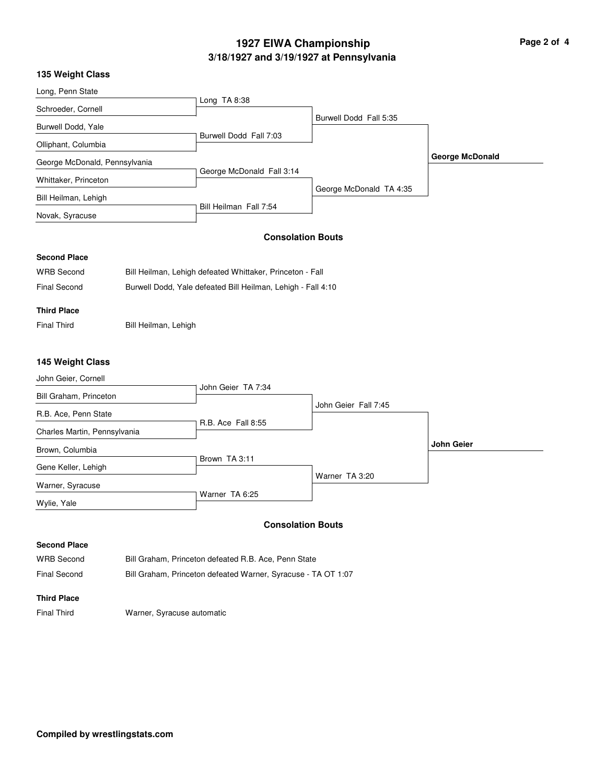# **3/18/1927 and 3/19/1927 at Pennsylvania 1927 EIWA Championship Page 2 of 4**

| 135 Weight Class              |                           |                         |                        |
|-------------------------------|---------------------------|-------------------------|------------------------|
| Long, Penn State              |                           |                         |                        |
|                               | Long $TA 8:38$            |                         |                        |
| Schroeder, Cornell            |                           | Burwell Dodd Fall 5:35  |                        |
| Burwell Dodd, Yale            |                           |                         |                        |
|                               | Burwell Dodd Fall 7:03    |                         |                        |
| Olliphant, Columbia           |                           |                         |                        |
| George McDonald, Pennsylvania |                           |                         | <b>George McDonald</b> |
|                               | George McDonald Fall 3:14 |                         |                        |
| Whittaker, Princeton          |                           |                         |                        |
| Bill Heilman, Lehigh          |                           | George McDonald TA 4:35 |                        |

Bill Heilman Fall 7:54

#### **Consolation Bouts**

## **Second Place**

Novak, Syracuse

| <b>WRB Second</b> | Bill Heilman, Lehigh defeated Whittaker, Princeton - Fall    |
|-------------------|--------------------------------------------------------------|
| Final Second      | Burwell Dodd, Yale defeated Bill Heilman, Lehigh - Fall 4:10 |

## **Third Place**

Final Third Bill Heilman, Lehigh

#### **145 Weight Class**

| John Geier, Cornell          |                           |                      |                   |
|------------------------------|---------------------------|----------------------|-------------------|
| Bill Graham, Princeton       | John Geier TA 7:34        |                      |                   |
| R.B. Ace, Penn State         |                           | John Geier Fall 7:45 |                   |
| Charles Martin, Pennsylvania | <b>R.B. Ace Fall 8:55</b> |                      |                   |
| Brown, Columbia              |                           |                      | <b>John Geier</b> |
| Gene Keller, Lehigh          | Brown TA 3:11             |                      |                   |
| Warner, Syracuse             |                           | Warner TA 3:20       |                   |
| Wylie, Yale                  | Warner TA 6:25            |                      |                   |

### **Consolation Bouts**

#### **Second Place**

| <b>WRB Second</b> | Bill Graham. Princeton defeated R.B. Ace. Penn State          |
|-------------------|---------------------------------------------------------------|
| Final Second      | Bill Graham, Princeton defeated Warner, Syracuse - TA OT 1:07 |

#### **Third Place**

Final Third Warner, Syracuse automatic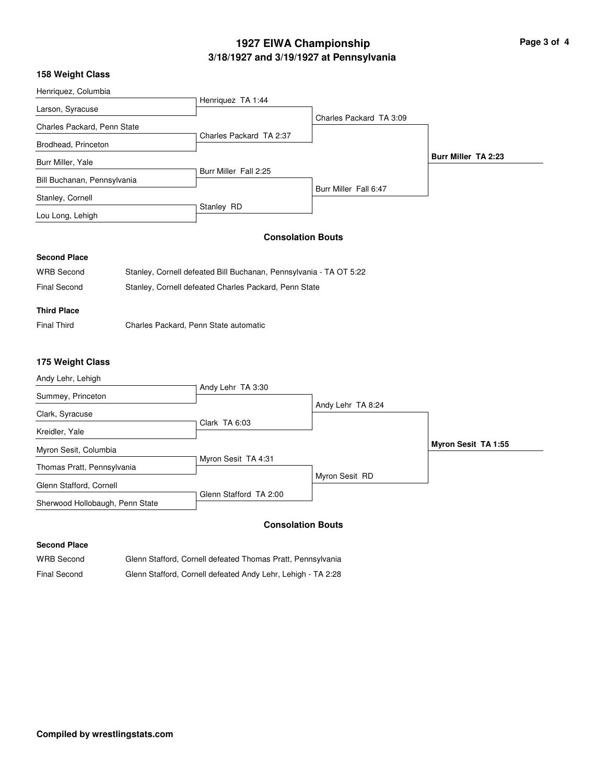# **3/18/1927 and 3/19/1927 at Pennsylvania 1927 EIWA Championship Page 3 of 4**

#### **158 Weight Class**

| Henriquez, Columbia         |  |                                                                    |                         |                     |
|-----------------------------|--|--------------------------------------------------------------------|-------------------------|---------------------|
| Larson, Syracuse            |  | Henriquez TA 1:44                                                  |                         |                     |
| Charles Packard, Penn State |  |                                                                    | Charles Packard TA 3:09 |                     |
| Brodhead, Princeton         |  | Charles Packard TA 2:37                                            |                         |                     |
| Burr Miller, Yale           |  |                                                                    |                         | Burr Miller TA 2:23 |
| Bill Buchanan, Pennsylvania |  | Burr Miller Fall 2:25                                              | Burr Miller Fall 6:47   |                     |
| Stanley, Cornell            |  |                                                                    |                         |                     |
| Lou Long, Lehigh            |  | Stanley RD                                                         |                         |                     |
|                             |  | <b>Consolation Bouts</b>                                           |                         |                     |
| <b>Second Place</b>         |  |                                                                    |                         |                     |
| <b>WRB Second</b>           |  | Stanley, Cornell defeated Bill Buchanan, Pennsylvania - TA OT 5:22 |                         |                     |

| Final Second | Stanley, Cornell defeated Charles Packard, Penn State |  |
|--------------|-------------------------------------------------------|--|
|              |                                                       |  |

#### **Third Place**

Final Third Charles Packard, Penn State automatic

## **175 Weight Class**

| Andy Lehr, Lehigh               |                        |                   |                     |
|---------------------------------|------------------------|-------------------|---------------------|
| Summey, Princeton               | Andy Lehr TA 3:30      |                   |                     |
| Clark, Syracuse                 |                        | Andy Lehr TA 8:24 |                     |
| Kreidler, Yale                  | Clark TA 6:03          |                   |                     |
| Myron Sesit, Columbia           |                        |                   | Myron Sesit TA 1:55 |
| Thomas Pratt, Pennsylvania      | Myron Sesit TA 4:31    |                   |                     |
| Glenn Stafford, Cornell         |                        | Myron Sesit RD    |                     |
| Sherwood Hollobaugh, Penn State | Glenn Stafford TA 2:00 |                   |                     |

### **Consolation Bouts**

#### **Second Place**

WRB Second Glenn Stafford, Cornell defeated Thomas Pratt, Pennsylvania Final Second Glenn Stafford, Cornell defeated Andy Lehr, Lehigh - TA 2:28